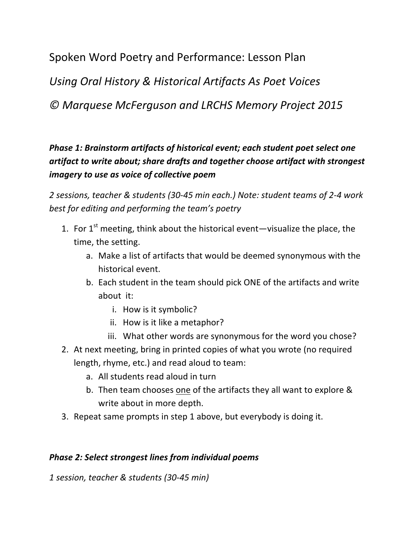Spoken Word Poetry and Performance: Lesson Plan

*Using Oral History & Historical Artifacts As Poet Voices*

*© Marquese McFerguson and LRCHS Memory Project 2015*

**Phase 1: Brainstorm artifacts of historical event; each student poet select one** *artifact to write about;* share drafts and together choose artifact with strongest *imagery to use as voice of collective poem* 

*2 sessions, teacher & students (30-45 min each.) Note: student teams of 2-4 work*  best for editing and performing the team's poetry

- 1. For  $1^{st}$  meeting, think about the historical event—visualize the place, the time, the setting.
	- a. Make a list of artifacts that would be deemed synonymous with the historical event.
	- b. Each student in the team should pick ONE of the artifacts and write  $about$  it:
		- i. How is it symbolic?
		- ii. How is it like a metaphor?
		- iii. What other words are synonymous for the word you chose?
- 2. At next meeting, bring in printed copies of what you wrote (no required length, rhyme, etc.) and read aloud to team:
	- a. All students read aloud in turn
	- b. Then team chooses one of the artifacts they all want to explore & write about in more depth.
- 3. Repeat same prompts in step 1 above, but everybody is doing it.

### *Phase 2: Select strongest lines from individual poems*

*1 session, teacher & students (30-45 min)*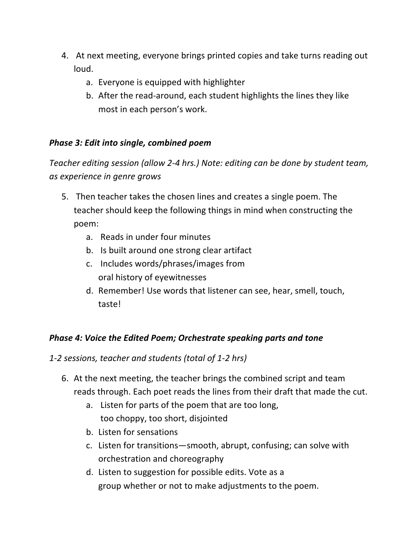- 4. At next meeting, everyone brings printed copies and take turns reading out loud.
	- a. Everyone is equipped with highlighter
	- b. After the read-around, each student highlights the lines they like most in each person's work.

# *Phase 3: Edit into single, combined poem*

*Teacher editing session (allow 2-4 hrs.)* Note: editing can be done by student team, *as experience in genre grows*

- 5. Then teacher takes the chosen lines and creates a single poem. The teacher should keep the following things in mind when constructing the poem:
	- a. Reads in under four minutes
	- b. Is built around one strong clear artifact
	- c. Includes words/phrases/images from oral history of eyewitnesses
	- d. Remember! Use words that listener can see, hear, smell, touch, taste!

# *Phase 4: Voice the Edited Poem; Orchestrate speaking parts and tone*

*1-2 sessions, teacher and students (total of 1-2 hrs)*

- 6. At the next meeting, the teacher brings the combined script and team reads through. Each poet reads the lines from their draft that made the cut.
	- a. Listen for parts of the poem that are too long, too choppy, too short, disjointed
	- b. Listen for sensations
	- c. Listen for transitions—smooth, abrupt, confusing; can solve with orchestration and choreography
	- d. Listen to suggestion for possible edits. Vote as a group whether or not to make adjustments to the poem.